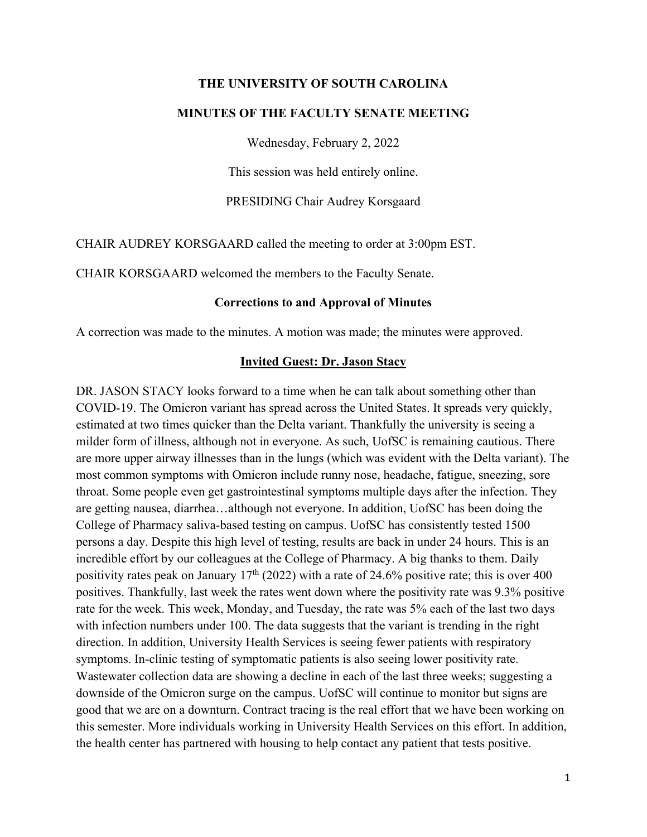#### **THE UNIVERSITY OF SOUTH CAROLINA**

#### **MINUTES OF THE FACULTY SENATE MEETING**

Wednesday, February 2, 2022

This session was held entirely online.

PRESIDING Chair Audrey Korsgaard

CHAIR AUDREY KORSGAARD called the meeting to order at 3:00pm EST.

CHAIR KORSGAARD welcomed the members to the Faculty Senate.

#### **Corrections to and Approval of Minutes**

A correction was made to the minutes. A motion was made; the minutes were approved.

#### **Invited Guest: Dr. Jason Stacy**

DR. JASON STACY looks forward to a time when he can talk about something other than COVID-19. The Omicron variant has spread across the United States. It spreads very quickly, estimated at two times quicker than the Delta variant. Thankfully the university is seeing a milder form of illness, although not in everyone. As such, UofSC is remaining cautious. There are more upper airway illnesses than in the lungs (which was evident with the Delta variant). The most common symptoms with Omicron include runny nose, headache, fatigue, sneezing, sore throat. Some people even get gastrointestinal symptoms multiple days after the infection. They are getting nausea, diarrhea…although not everyone. In addition, UofSC has been doing the College of Pharmacy saliva-based testing on campus. UofSC has consistently tested 1500 persons a day. Despite this high level of testing, results are back in under 24 hours. This is an incredible effort by our colleagues at the College of Pharmacy. A big thanks to them. Daily positivity rates peak on January  $17<sup>th</sup>$  (2022) with a rate of 24.6% positive rate; this is over 400 positives. Thankfully, last week the rates went down where the positivity rate was 9.3% positive rate for the week. This week, Monday, and Tuesday, the rate was 5% each of the last two days with infection numbers under 100. The data suggests that the variant is trending in the right direction. In addition, University Health Services is seeing fewer patients with respiratory symptoms. In-clinic testing of symptomatic patients is also seeing lower positivity rate. Wastewater collection data are showing a decline in each of the last three weeks; suggesting a downside of the Omicron surge on the campus. UofSC will continue to monitor but signs are good that we are on a downturn. Contract tracing is the real effort that we have been working on this semester. More individuals working in University Health Services on this effort. In addition, the health center has partnered with housing to help contact any patient that tests positive.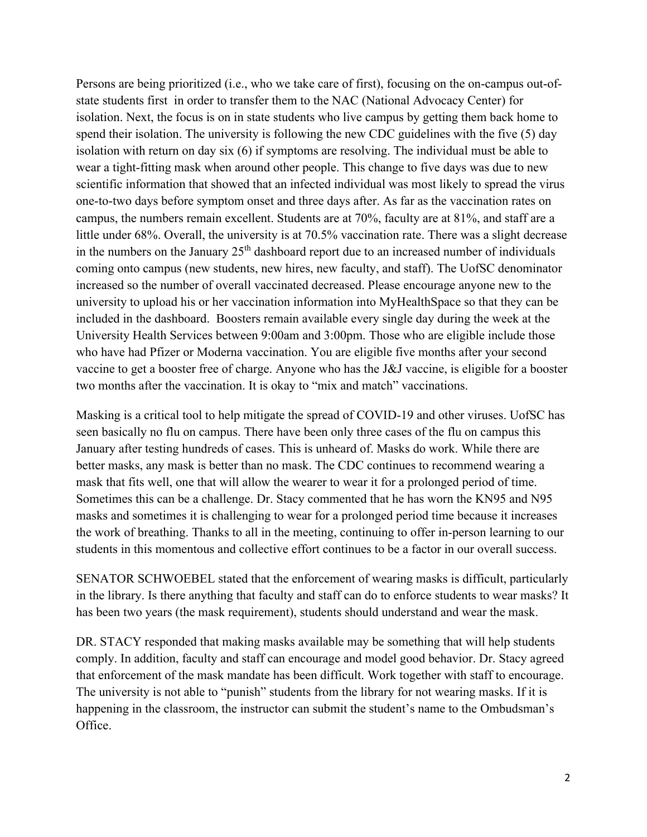Persons are being prioritized (i.e., who we take care of first), focusing on the on-campus out-ofstate students first in order to transfer them to the NAC (National Advocacy Center) for isolation. Next, the focus is on in state students who live campus by getting them back home to spend their isolation. The university is following the new CDC guidelines with the five (5) day isolation with return on day six (6) if symptoms are resolving. The individual must be able to wear a tight-fitting mask when around other people. This change to five days was due to new scientific information that showed that an infected individual was most likely to spread the virus one-to-two days before symptom onset and three days after. As far as the vaccination rates on campus, the numbers remain excellent. Students are at 70%, faculty are at 81%, and staff are a little under 68%. Overall, the university is at 70.5% vaccination rate. There was a slight decrease in the numbers on the January  $25<sup>th</sup>$  dashboard report due to an increased number of individuals coming onto campus (new students, new hires, new faculty, and staff). The UofSC denominator increased so the number of overall vaccinated decreased. Please encourage anyone new to the university to upload his or her vaccination information into MyHealthSpace so that they can be included in the dashboard. Boosters remain available every single day during the week at the University Health Services between 9:00am and 3:00pm. Those who are eligible include those who have had Pfizer or Moderna vaccination. You are eligible five months after your second vaccine to get a booster free of charge. Anyone who has the J&J vaccine, is eligible for a booster two months after the vaccination. It is okay to "mix and match" vaccinations.

Masking is a critical tool to help mitigate the spread of COVID-19 and other viruses. UofSC has seen basically no flu on campus. There have been only three cases of the flu on campus this January after testing hundreds of cases. This is unheard of. Masks do work. While there are better masks, any mask is better than no mask. The CDC continues to recommend wearing a mask that fits well, one that will allow the wearer to wear it for a prolonged period of time. Sometimes this can be a challenge. Dr. Stacy commented that he has worn the KN95 and N95 masks and sometimes it is challenging to wear for a prolonged period time because it increases the work of breathing. Thanks to all in the meeting, continuing to offer in-person learning to our students in this momentous and collective effort continues to be a factor in our overall success.

SENATOR SCHWOEBEL stated that the enforcement of wearing masks is difficult, particularly in the library. Is there anything that faculty and staff can do to enforce students to wear masks? It has been two years (the mask requirement), students should understand and wear the mask.

DR. STACY responded that making masks available may be something that will help students comply. In addition, faculty and staff can encourage and model good behavior. Dr. Stacy agreed that enforcement of the mask mandate has been difficult. Work together with staff to encourage. The university is not able to "punish" students from the library for not wearing masks. If it is happening in the classroom, the instructor can submit the student's name to the Ombudsman's Office.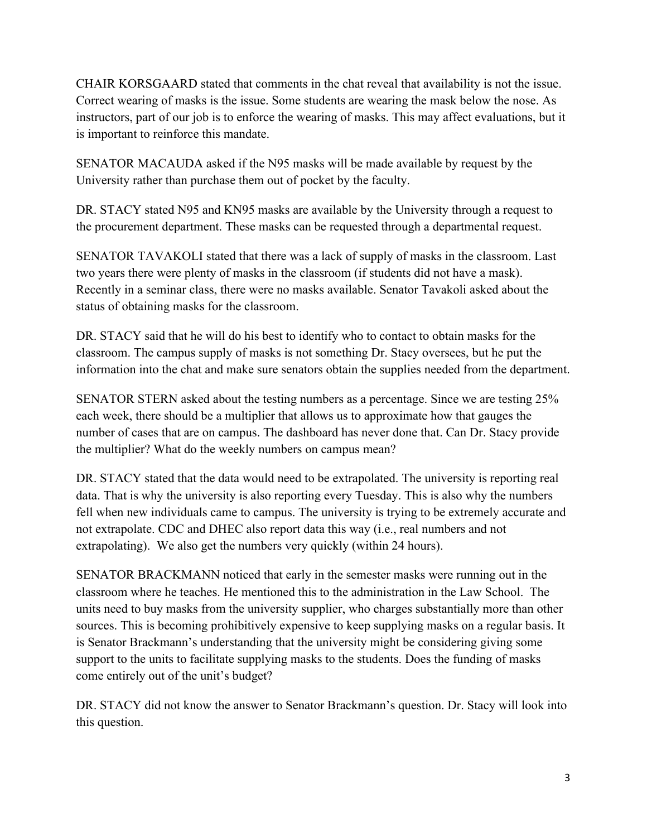CHAIR KORSGAARD stated that comments in the chat reveal that availability is not the issue. Correct wearing of masks is the issue. Some students are wearing the mask below the nose. As instructors, part of our job is to enforce the wearing of masks. This may affect evaluations, but it is important to reinforce this mandate.

SENATOR MACAUDA asked if the N95 masks will be made available by request by the University rather than purchase them out of pocket by the faculty.

DR. STACY stated N95 and KN95 masks are available by the University through a request to the procurement department. These masks can be requested through a departmental request.

SENATOR TAVAKOLI stated that there was a lack of supply of masks in the classroom. Last two years there were plenty of masks in the classroom (if students did not have a mask). Recently in a seminar class, there were no masks available. Senator Tavakoli asked about the status of obtaining masks for the classroom.

DR. STACY said that he will do his best to identify who to contact to obtain masks for the classroom. The campus supply of masks is not something Dr. Stacy oversees, but he put the information into the chat and make sure senators obtain the supplies needed from the department.

SENATOR STERN asked about the testing numbers as a percentage. Since we are testing 25% each week, there should be a multiplier that allows us to approximate how that gauges the number of cases that are on campus. The dashboard has never done that. Can Dr. Stacy provide the multiplier? What do the weekly numbers on campus mean?

DR. STACY stated that the data would need to be extrapolated. The university is reporting real data. That is why the university is also reporting every Tuesday. This is also why the numbers fell when new individuals came to campus. The university is trying to be extremely accurate and not extrapolate. CDC and DHEC also report data this way (i.e., real numbers and not extrapolating). We also get the numbers very quickly (within 24 hours).

SENATOR BRACKMANN noticed that early in the semester masks were running out in the classroom where he teaches. He mentioned this to the administration in the Law School. The units need to buy masks from the university supplier, who charges substantially more than other sources. This is becoming prohibitively expensive to keep supplying masks on a regular basis. It is Senator Brackmann's understanding that the university might be considering giving some support to the units to facilitate supplying masks to the students. Does the funding of masks come entirely out of the unit's budget?

DR. STACY did not know the answer to Senator Brackmann's question. Dr. Stacy will look into this question.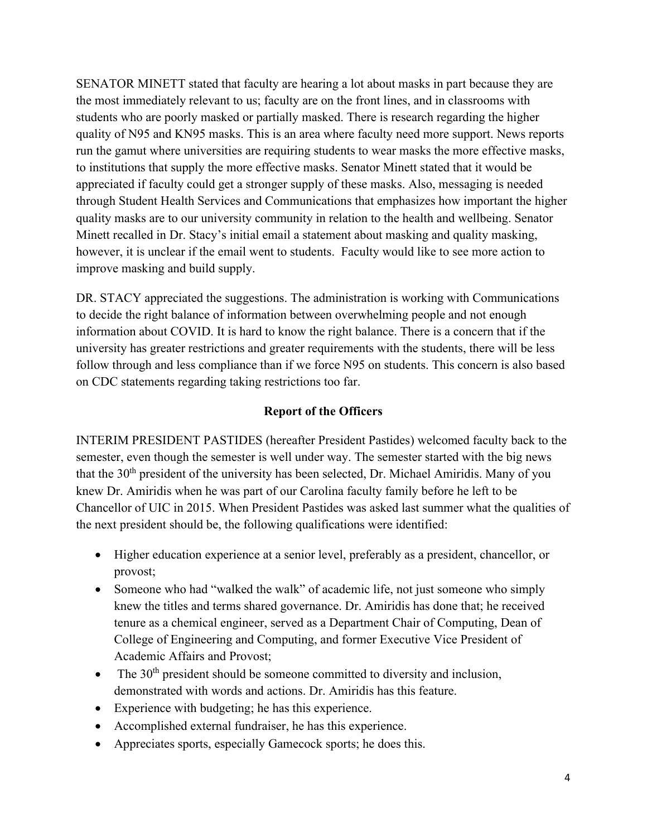SENATOR MINETT stated that faculty are hearing a lot about masks in part because they are the most immediately relevant to us; faculty are on the front lines, and in classrooms with students who are poorly masked or partially masked. There is research regarding the higher quality of N95 and KN95 masks. This is an area where faculty need more support. News reports run the gamut where universities are requiring students to wear masks the more effective masks, to institutions that supply the more effective masks. Senator Minett stated that it would be appreciated if faculty could get a stronger supply of these masks. Also, messaging is needed through Student Health Services and Communications that emphasizes how important the higher quality masks are to our university community in relation to the health and wellbeing. Senator Minett recalled in Dr. Stacy's initial email a statement about masking and quality masking, however, it is unclear if the email went to students. Faculty would like to see more action to improve masking and build supply.

DR. STACY appreciated the suggestions. The administration is working with Communications to decide the right balance of information between overwhelming people and not enough information about COVID. It is hard to know the right balance. There is a concern that if the university has greater restrictions and greater requirements with the students, there will be less follow through and less compliance than if we force N95 on students. This concern is also based on CDC statements regarding taking restrictions too far.

#### **Report of the Officers**

INTERIM PRESIDENT PASTIDES (hereafter President Pastides) welcomed faculty back to the semester, even though the semester is well under way. The semester started with the big news that the 30<sup>th</sup> president of the university has been selected, Dr. Michael Amiridis. Many of you knew Dr. Amiridis when he was part of our Carolina faculty family before he left to be Chancellor of UIC in 2015. When President Pastides was asked last summer what the qualities of the next president should be, the following qualifications were identified:

- Higher education experience at a senior level, preferably as a president, chancellor, or provost;
- Someone who had "walked the walk" of academic life, not just someone who simply knew the titles and terms shared governance. Dr. Amiridis has done that; he received tenure as a chemical engineer, served as a Department Chair of Computing, Dean of College of Engineering and Computing, and former Executive Vice President of Academic Affairs and Provost;
- The  $30<sup>th</sup>$  president should be someone committed to diversity and inclusion, demonstrated with words and actions. Dr. Amiridis has this feature.
- Experience with budgeting; he has this experience.
- Accomplished external fundraiser, he has this experience.
- Appreciates sports, especially Gamecock sports; he does this.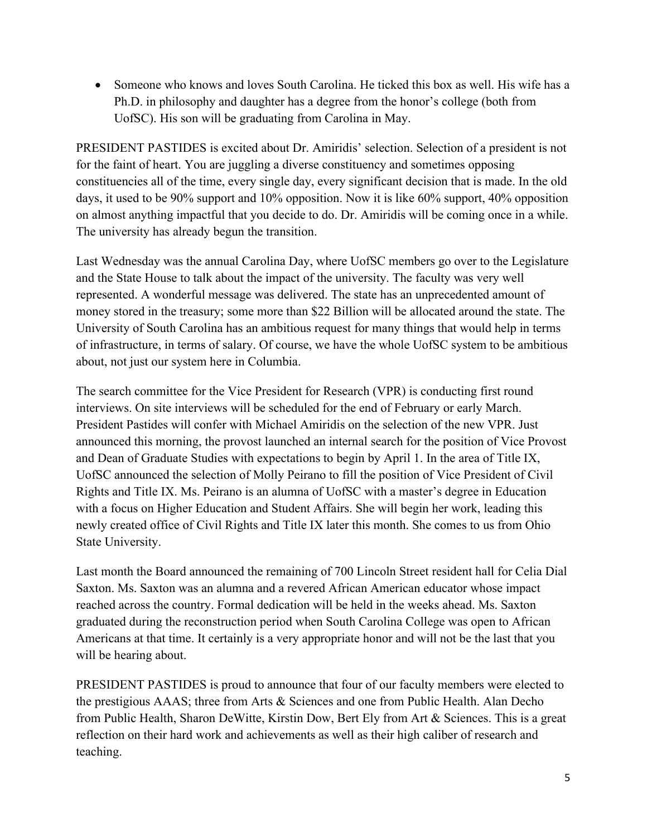• Someone who knows and loves South Carolina. He ticked this box as well. His wife has a Ph.D. in philosophy and daughter has a degree from the honor's college (both from UofSC). His son will be graduating from Carolina in May.

PRESIDENT PASTIDES is excited about Dr. Amiridis' selection. Selection of a president is not for the faint of heart. You are juggling a diverse constituency and sometimes opposing constituencies all of the time, every single day, every significant decision that is made. In the old days, it used to be 90% support and 10% opposition. Now it is like 60% support, 40% opposition on almost anything impactful that you decide to do. Dr. Amiridis will be coming once in a while. The university has already begun the transition.

Last Wednesday was the annual Carolina Day, where UofSC members go over to the Legislature and the State House to talk about the impact of the university. The faculty was very well represented. A wonderful message was delivered. The state has an unprecedented amount of money stored in the treasury; some more than \$22 Billion will be allocated around the state. The University of South Carolina has an ambitious request for many things that would help in terms of infrastructure, in terms of salary. Of course, we have the whole UofSC system to be ambitious about, not just our system here in Columbia.

The search committee for the Vice President for Research (VPR) is conducting first round interviews. On site interviews will be scheduled for the end of February or early March. President Pastides will confer with Michael Amiridis on the selection of the new VPR. Just announced this morning, the provost launched an internal search for the position of Vice Provost and Dean of Graduate Studies with expectations to begin by April 1. In the area of Title IX, UofSC announced the selection of Molly Peirano to fill the position of Vice President of Civil Rights and Title IX. Ms. Peirano is an alumna of UofSC with a master's degree in Education with a focus on Higher Education and Student Affairs. She will begin her work, leading this newly created office of Civil Rights and Title IX later this month. She comes to us from Ohio State University.

Last month the Board announced the remaining of 700 Lincoln Street resident hall for Celia Dial Saxton. Ms. Saxton was an alumna and a revered African American educator whose impact reached across the country. Formal dedication will be held in the weeks ahead. Ms. Saxton graduated during the reconstruction period when South Carolina College was open to African Americans at that time. It certainly is a very appropriate honor and will not be the last that you will be hearing about.

PRESIDENT PASTIDES is proud to announce that four of our faculty members were elected to the prestigious AAAS; three from Arts & Sciences and one from Public Health. Alan Decho from Public Health, Sharon DeWitte, Kirstin Dow, Bert Ely from Art & Sciences. This is a great reflection on their hard work and achievements as well as their high caliber of research and teaching.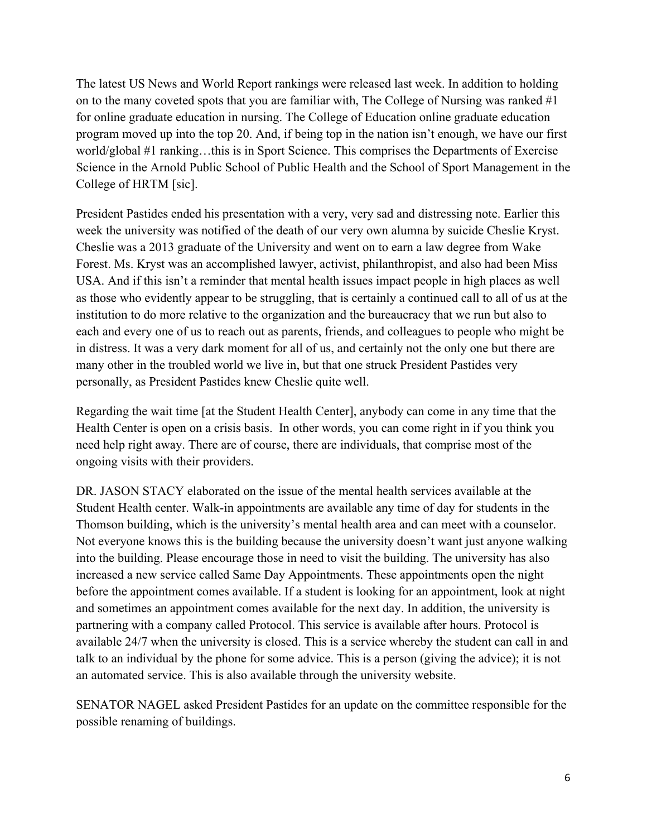The latest US News and World Report rankings were released last week. In addition to holding on to the many coveted spots that you are familiar with, The College of Nursing was ranked  $#1$ for online graduate education in nursing. The College of Education online graduate education program moved up into the top 20. And, if being top in the nation isn't enough, we have our first world/global #1 ranking…this is in Sport Science. This comprises the Departments of Exercise Science in the Arnold Public School of Public Health and the School of Sport Management in the College of HRTM [sic].

President Pastides ended his presentation with a very, very sad and distressing note. Earlier this week the university was notified of the death of our very own alumna by suicide Cheslie Kryst. Cheslie was a 2013 graduate of the University and went on to earn a law degree from Wake Forest. Ms. Kryst was an accomplished lawyer, activist, philanthropist, and also had been Miss USA. And if this isn't a reminder that mental health issues impact people in high places as well as those who evidently appear to be struggling, that is certainly a continued call to all of us at the institution to do more relative to the organization and the bureaucracy that we run but also to each and every one of us to reach out as parents, friends, and colleagues to people who might be in distress. It was a very dark moment for all of us, and certainly not the only one but there are many other in the troubled world we live in, but that one struck President Pastides very personally, as President Pastides knew Cheslie quite well.

Regarding the wait time [at the Student Health Center], anybody can come in any time that the Health Center is open on a crisis basis. In other words, you can come right in if you think you need help right away. There are of course, there are individuals, that comprise most of the ongoing visits with their providers.

DR. JASON STACY elaborated on the issue of the mental health services available at the Student Health center. Walk-in appointments are available any time of day for students in the Thomson building, which is the university's mental health area and can meet with a counselor. Not everyone knows this is the building because the university doesn't want just anyone walking into the building. Please encourage those in need to visit the building. The university has also increased a new service called Same Day Appointments. These appointments open the night before the appointment comes available. If a student is looking for an appointment, look at night and sometimes an appointment comes available for the next day. In addition, the university is partnering with a company called Protocol. This service is available after hours. Protocol is available 24/7 when the university is closed. This is a service whereby the student can call in and talk to an individual by the phone for some advice. This is a person (giving the advice); it is not an automated service. This is also available through the university website.

SENATOR NAGEL asked President Pastides for an update on the committee responsible for the possible renaming of buildings.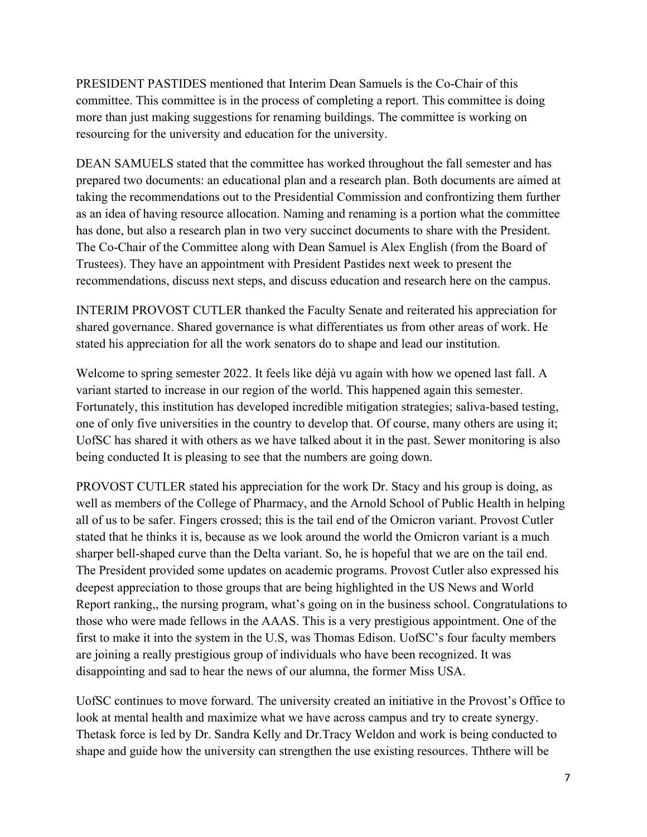PRESIDENT PASTIDES mentioned that Interim Dean Samuels is the Co-Chair of this committee. This committee is in the process of completing a report. This committee is doing more than just making suggestions for renaming buildings. The committee is working on resourcing for the university and education for the university.

DEAN SAMUELS stated that the committee has worked throughout the fall semester and has prepared two documents: an educational plan and a research plan. Both documents are aimed at taking the recommendations out to the Presidential Commission and confrontizing them further as an idea of having resource allocation. Naming and renaming is a portion what the committee has done, but also a research plan in two very succinct documents to share with the President. The Co-Chair of the Committee along with Dean Samuel is Alex English (from the Board of Trustees). They have an appointment with President Pastides next week to present the recommendations, discuss next steps, and discuss education and research here on the campus.

INTERIM PROVOST CUTLER thanked the Faculty Senate and reiterated his appreciation for shared governance. Shared governance is what differentiates us from other areas of work. He stated his appreciation for all the work senators do to shape and lead our institution.

Welcome to spring semester 2022. It feels like déjà vu again with how we opened last fall. A variant started to increase in our region of the world. This happened again this semester. Fortunately, this institution has developed incredible mitigation strategies; saliva-based testing, one of only five universities in the country to develop that. Of course, many others are using it; UofSC has shared it with others as we have talked about it in the past. Sewer monitoring is also being conducted It is pleasing to see that the numbers are going down.

PROVOST CUTLER stated his appreciation for the work Dr. Stacy and his group is doing, as well as members of the College of Pharmacy, and the Arnold School of Public Health in helping all of us to be safer. Fingers crossed; this is the tail end of the Omicron variant. Provost Cutler stated that he thinks it is, because as we look around the world the Omicron variant is a much sharper bell-shaped curve than the Delta variant. So, he is hopeful that we are on the tail end. The President provided some updates on academic programs. Provost Cutler also expressed his deepest appreciation to those groups that are being highlighted in the US News and World Report ranking,, the nursing program, what's going on in the business school. Congratulations to those who were made fellows in the AAAS. This is a very prestigious appointment. One of the first to make it into the system in the U.S, was Thomas Edison. UofSC's four faculty members are joining a really prestigious group of individuals who have been recognized. It was disappointing and sad to hear the news of our alumna, the former Miss USA.

UofSC continues to move forward. The university created an initiative in the Provost's Office to look at mental health and maximize what we have across campus and try to create synergy. Thetask force is led by Dr. Sandra Kelly and Dr.Tracy Weldon and work is being conducted to shape and guide how the university can strengthen the use existing resources. Ththere will be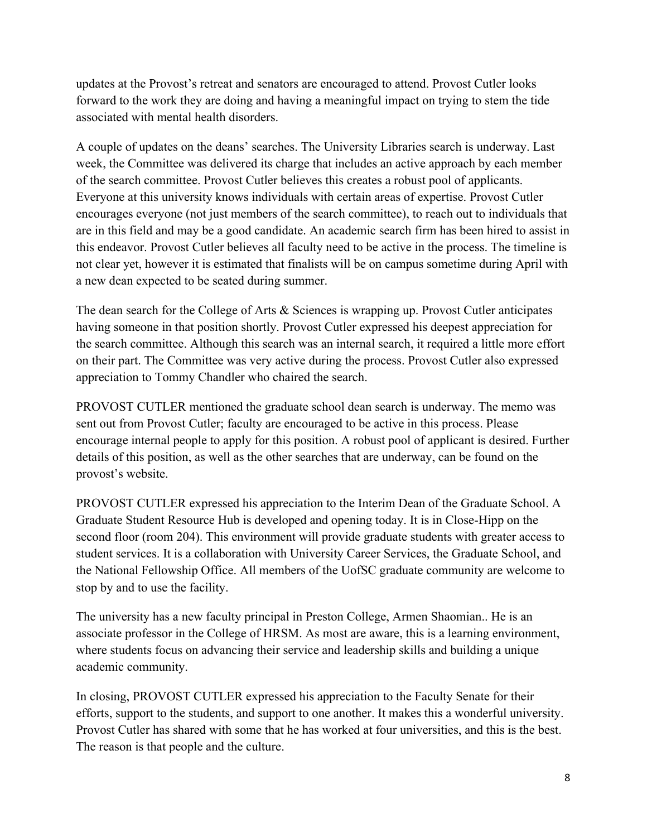updates at the Provost's retreat and senators are encouraged to attend. Provost Cutler looks forward to the work they are doing and having a meaningful impact on trying to stem the tide associated with mental health disorders.

A couple of updates on the deans' searches. The University Libraries search is underway. Last week, the Committee was delivered its charge that includes an active approach by each member of the search committee. Provost Cutler believes this creates a robust pool of applicants. Everyone at this university knows individuals with certain areas of expertise. Provost Cutler encourages everyone (not just members of the search committee), to reach out to individuals that are in this field and may be a good candidate. An academic search firm has been hired to assist in this endeavor. Provost Cutler believes all faculty need to be active in the process. The timeline is not clear yet, however it is estimated that finalists will be on campus sometime during April with a new dean expected to be seated during summer.

The dean search for the College of Arts & Sciences is wrapping up. Provost Cutler anticipates having someone in that position shortly. Provost Cutler expressed his deepest appreciation for the search committee. Although this search was an internal search, it required a little more effort on their part. The Committee was very active during the process. Provost Cutler also expressed appreciation to Tommy Chandler who chaired the search.

PROVOST CUTLER mentioned the graduate school dean search is underway. The memo was sent out from Provost Cutler; faculty are encouraged to be active in this process. Please encourage internal people to apply for this position. A robust pool of applicant is desired. Further details of this position, as well as the other searches that are underway, can be found on the provost's website.

PROVOST CUTLER expressed his appreciation to the Interim Dean of the Graduate School. A Graduate Student Resource Hub is developed and opening today. It is in Close-Hipp on the second floor (room 204). This environment will provide graduate students with greater access to student services. It is a collaboration with University Career Services, the Graduate School, and the National Fellowship Office. All members of the UofSC graduate community are welcome to stop by and to use the facility.

The university has a new faculty principal in Preston College, Armen Shaomian.. He is an associate professor in the College of HRSM. As most are aware, this is a learning environment, where students focus on advancing their service and leadership skills and building a unique academic community.

In closing, PROVOST CUTLER expressed his appreciation to the Faculty Senate for their efforts, support to the students, and support to one another. It makes this a wonderful university. Provost Cutler has shared with some that he has worked at four universities, and this is the best. The reason is that people and the culture.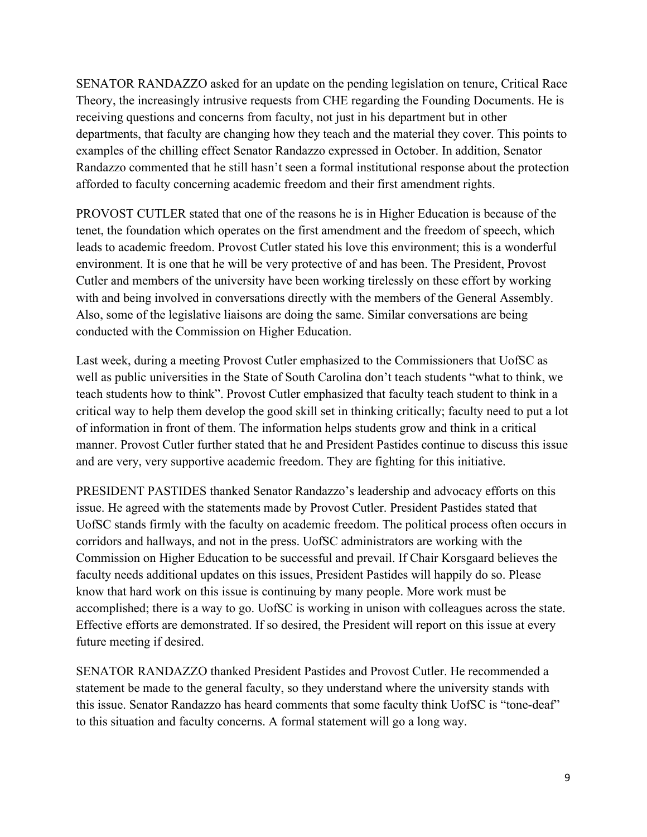SENATOR RANDAZZO asked for an update on the pending legislation on tenure, Critical Race Theory, the increasingly intrusive requests from CHE regarding the Founding Documents. He is receiving questions and concerns from faculty, not just in his department but in other departments, that faculty are changing how they teach and the material they cover. This points to examples of the chilling effect Senator Randazzo expressed in October. In addition, Senator Randazzo commented that he still hasn't seen a formal institutional response about the protection afforded to faculty concerning academic freedom and their first amendment rights.

PROVOST CUTLER stated that one of the reasons he is in Higher Education is because of the tenet, the foundation which operates on the first amendment and the freedom of speech, which leads to academic freedom. Provost Cutler stated his love this environment; this is a wonderful environment. It is one that he will be very protective of and has been. The President, Provost Cutler and members of the university have been working tirelessly on these effort by working with and being involved in conversations directly with the members of the General Assembly. Also, some of the legislative liaisons are doing the same. Similar conversations are being conducted with the Commission on Higher Education.

Last week, during a meeting Provost Cutler emphasized to the Commissioners that UofSC as well as public universities in the State of South Carolina don't teach students "what to think, we teach students how to think". Provost Cutler emphasized that faculty teach student to think in a critical way to help them develop the good skill set in thinking critically; faculty need to put a lot of information in front of them. The information helps students grow and think in a critical manner. Provost Cutler further stated that he and President Pastides continue to discuss this issue and are very, very supportive academic freedom. They are fighting for this initiative.

PRESIDENT PASTIDES thanked Senator Randazzo's leadership and advocacy efforts on this issue. He agreed with the statements made by Provost Cutler. President Pastides stated that UofSC stands firmly with the faculty on academic freedom. The political process often occurs in corridors and hallways, and not in the press. UofSC administrators are working with the Commission on Higher Education to be successful and prevail. If Chair Korsgaard believes the faculty needs additional updates on this issues, President Pastides will happily do so. Please know that hard work on this issue is continuing by many people. More work must be accomplished; there is a way to go. UofSC is working in unison with colleagues across the state. Effective efforts are demonstrated. If so desired, the President will report on this issue at every future meeting if desired.

SENATOR RANDAZZO thanked President Pastides and Provost Cutler. He recommended a statement be made to the general faculty, so they understand where the university stands with this issue. Senator Randazzo has heard comments that some faculty think UofSC is "tone-deaf" to this situation and faculty concerns. A formal statement will go a long way.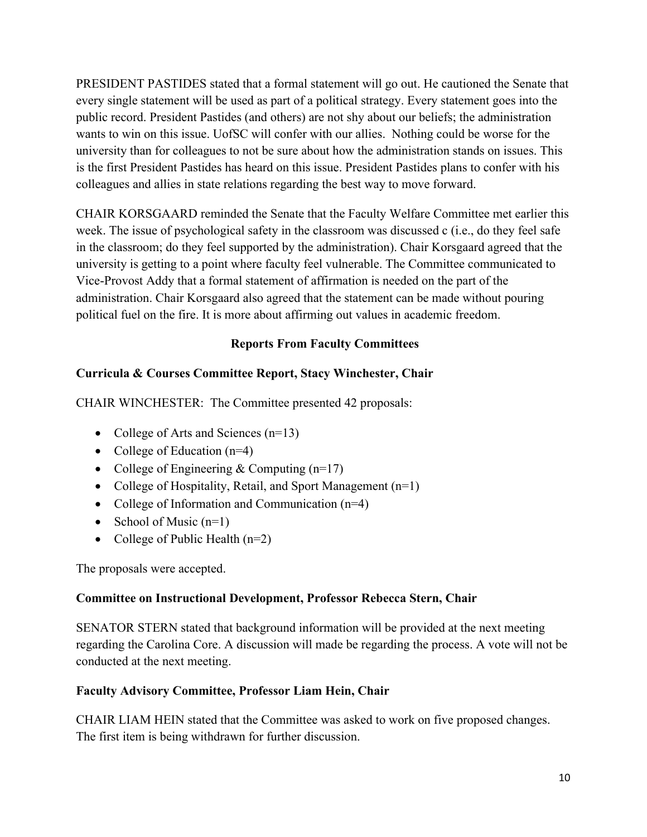PRESIDENT PASTIDES stated that a formal statement will go out. He cautioned the Senate that every single statement will be used as part of a political strategy. Every statement goes into the public record. President Pastides (and others) are not shy about our beliefs; the administration wants to win on this issue. UofSC will confer with our allies. Nothing could be worse for the university than for colleagues to not be sure about how the administration stands on issues. This is the first President Pastides has heard on this issue. President Pastides plans to confer with his colleagues and allies in state relations regarding the best way to move forward.

CHAIR KORSGAARD reminded the Senate that the Faculty Welfare Committee met earlier this week. The issue of psychological safety in the classroom was discussed c (i.e., do they feel safe in the classroom; do they feel supported by the administration). Chair Korsgaard agreed that the university is getting to a point where faculty feel vulnerable. The Committee communicated to Vice-Provost Addy that a formal statement of affirmation is needed on the part of the administration. Chair Korsgaard also agreed that the statement can be made without pouring political fuel on the fire. It is more about affirming out values in academic freedom.

## **Reports From Faculty Committees**

## **Curricula & Courses Committee Report, Stacy Winchester, Chair**

CHAIR WINCHESTER: The Committee presented 42 proposals:

- College of Arts and Sciences (n=13)
- College of Education (n=4)
- College of Engineering & Computing  $(n=17)$
- College of Hospitality, Retail, and Sport Management (n=1)
- College of Information and Communication (n=4)
- School of Music  $(n=1)$
- College of Public Health  $(n=2)$

The proposals were accepted.

### **Committee on Instructional Development, Professor Rebecca Stern, Chair**

SENATOR STERN stated that background information will be provided at the next meeting regarding the Carolina Core. A discussion will made be regarding the process. A vote will not be conducted at the next meeting.

## **Faculty Advisory Committee, Professor Liam Hein, Chair**

CHAIR LIAM HEIN stated that the Committee was asked to work on five proposed changes. The first item is being withdrawn for further discussion.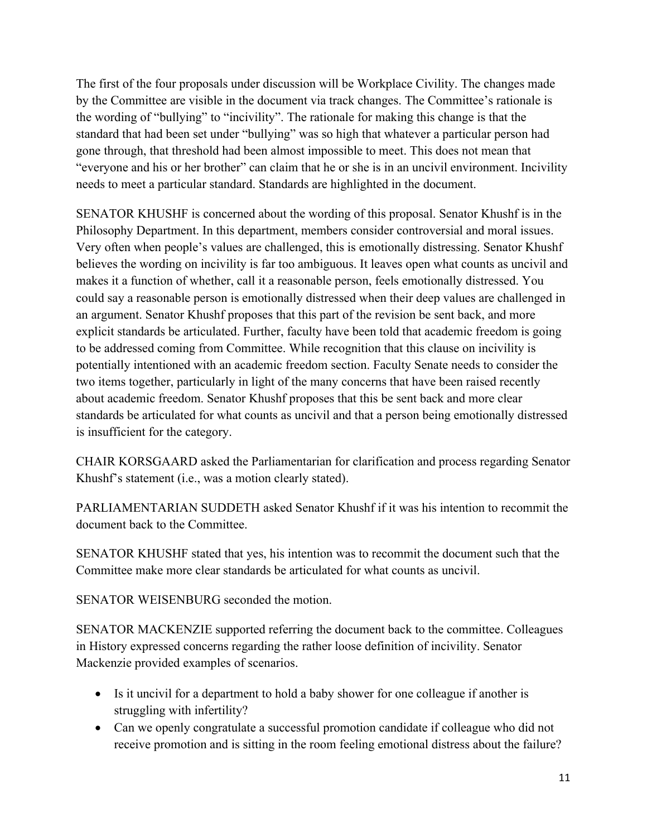The first of the four proposals under discussion will be Workplace Civility. The changes made by the Committee are visible in the document via track changes. The Committee's rationale is the wording of "bullying" to "incivility". The rationale for making this change is that the standard that had been set under "bullying" was so high that whatever a particular person had gone through, that threshold had been almost impossible to meet. This does not mean that "everyone and his or her brother" can claim that he or she is in an uncivil environment. Incivility needs to meet a particular standard. Standards are highlighted in the document.

SENATOR KHUSHF is concerned about the wording of this proposal. Senator Khushf is in the Philosophy Department. In this department, members consider controversial and moral issues. Very often when people's values are challenged, this is emotionally distressing. Senator Khushf believes the wording on incivility is far too ambiguous. It leaves open what counts as uncivil and makes it a function of whether, call it a reasonable person, feels emotionally distressed. You could say a reasonable person is emotionally distressed when their deep values are challenged in an argument. Senator Khushf proposes that this part of the revision be sent back, and more explicit standards be articulated. Further, faculty have been told that academic freedom is going to be addressed coming from Committee. While recognition that this clause on incivility is potentially intentioned with an academic freedom section. Faculty Senate needs to consider the two items together, particularly in light of the many concerns that have been raised recently about academic freedom. Senator Khushf proposes that this be sent back and more clear standards be articulated for what counts as uncivil and that a person being emotionally distressed is insufficient for the category.

CHAIR KORSGAARD asked the Parliamentarian for clarification and process regarding Senator Khushf's statement (i.e., was a motion clearly stated).

PARLIAMENTARIAN SUDDETH asked Senator Khushf if it was his intention to recommit the document back to the Committee.

SENATOR KHUSHF stated that yes, his intention was to recommit the document such that the Committee make more clear standards be articulated for what counts as uncivil.

SENATOR WEISENBURG seconded the motion.

SENATOR MACKENZIE supported referring the document back to the committee. Colleagues in History expressed concerns regarding the rather loose definition of incivility. Senator Mackenzie provided examples of scenarios.

- Is it uncivil for a department to hold a baby shower for one colleague if another is struggling with infertility?
- Can we openly congratulate a successful promotion candidate if colleague who did not receive promotion and is sitting in the room feeling emotional distress about the failure?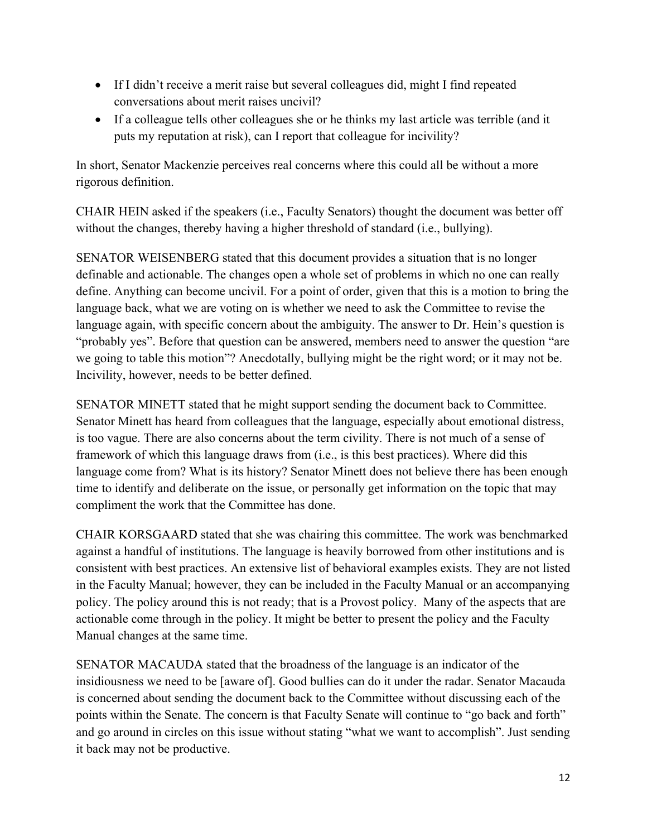- If I didn't receive a merit raise but several colleagues did, might I find repeated conversations about merit raises uncivil?
- If a colleague tells other colleagues she or he thinks my last article was terrible (and it puts my reputation at risk), can I report that colleague for incivility?

In short, Senator Mackenzie perceives real concerns where this could all be without a more rigorous definition.

CHAIR HEIN asked if the speakers (i.e., Faculty Senators) thought the document was better off without the changes, thereby having a higher threshold of standard (i.e., bullying).

SENATOR WEISENBERG stated that this document provides a situation that is no longer definable and actionable. The changes open a whole set of problems in which no one can really define. Anything can become uncivil. For a point of order, given that this is a motion to bring the language back, what we are voting on is whether we need to ask the Committee to revise the language again, with specific concern about the ambiguity. The answer to Dr. Hein's question is "probably yes". Before that question can be answered, members need to answer the question "are we going to table this motion"? Anecdotally, bullying might be the right word; or it may not be. Incivility, however, needs to be better defined.

SENATOR MINETT stated that he might support sending the document back to Committee. Senator Minett has heard from colleagues that the language, especially about emotional distress, is too vague. There are also concerns about the term civility. There is not much of a sense of framework of which this language draws from (i.e., is this best practices). Where did this language come from? What is its history? Senator Minett does not believe there has been enough time to identify and deliberate on the issue, or personally get information on the topic that may compliment the work that the Committee has done.

CHAIR KORSGAARD stated that she was chairing this committee. The work was benchmarked against a handful of institutions. The language is heavily borrowed from other institutions and is consistent with best practices. An extensive list of behavioral examples exists. They are not listed in the Faculty Manual; however, they can be included in the Faculty Manual or an accompanying policy. The policy around this is not ready; that is a Provost policy. Many of the aspects that are actionable come through in the policy. It might be better to present the policy and the Faculty Manual changes at the same time.

SENATOR MACAUDA stated that the broadness of the language is an indicator of the insidiousness we need to be [aware of]. Good bullies can do it under the radar. Senator Macauda is concerned about sending the document back to the Committee without discussing each of the points within the Senate. The concern is that Faculty Senate will continue to "go back and forth" and go around in circles on this issue without stating "what we want to accomplish". Just sending it back may not be productive.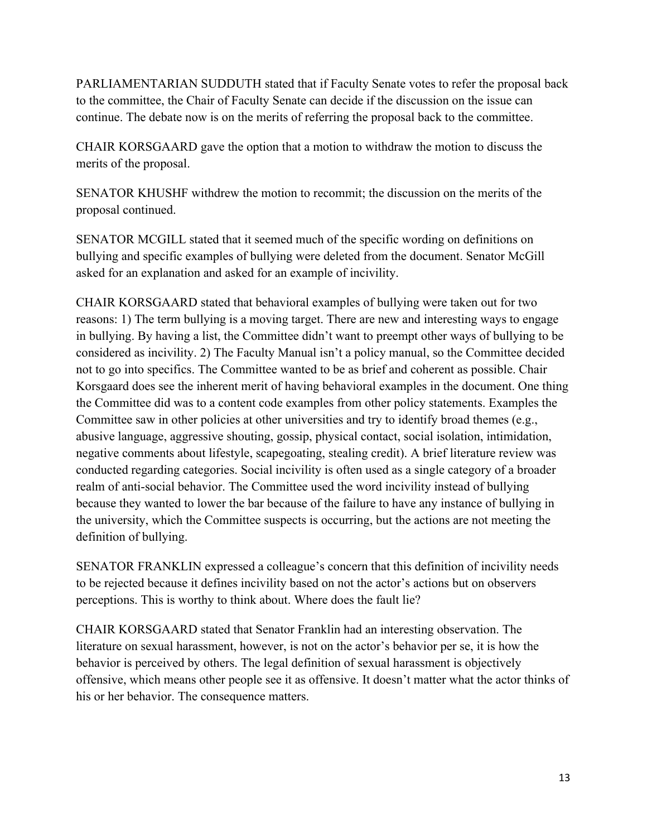PARLIAMENTARIAN SUDDUTH stated that if Faculty Senate votes to refer the proposal back to the committee, the Chair of Faculty Senate can decide if the discussion on the issue can continue. The debate now is on the merits of referring the proposal back to the committee.

CHAIR KORSGAARD gave the option that a motion to withdraw the motion to discuss the merits of the proposal.

SENATOR KHUSHF withdrew the motion to recommit; the discussion on the merits of the proposal continued.

SENATOR MCGILL stated that it seemed much of the specific wording on definitions on bullying and specific examples of bullying were deleted from the document. Senator McGill asked for an explanation and asked for an example of incivility.

CHAIR KORSGAARD stated that behavioral examples of bullying were taken out for two reasons: 1) The term bullying is a moving target. There are new and interesting ways to engage in bullying. By having a list, the Committee didn't want to preempt other ways of bullying to be considered as incivility. 2) The Faculty Manual isn't a policy manual, so the Committee decided not to go into specifics. The Committee wanted to be as brief and coherent as possible. Chair Korsgaard does see the inherent merit of having behavioral examples in the document. One thing the Committee did was to a content code examples from other policy statements. Examples the Committee saw in other policies at other universities and try to identify broad themes (e.g., abusive language, aggressive shouting, gossip, physical contact, social isolation, intimidation, negative comments about lifestyle, scapegoating, stealing credit). A brief literature review was conducted regarding categories. Social incivility is often used as a single category of a broader realm of anti-social behavior. The Committee used the word incivility instead of bullying because they wanted to lower the bar because of the failure to have any instance of bullying in the university, which the Committee suspects is occurring, but the actions are not meeting the definition of bullying.

SENATOR FRANKLIN expressed a colleague's concern that this definition of incivility needs to be rejected because it defines incivility based on not the actor's actions but on observers perceptions. This is worthy to think about. Where does the fault lie?

CHAIR KORSGAARD stated that Senator Franklin had an interesting observation. The literature on sexual harassment, however, is not on the actor's behavior per se, it is how the behavior is perceived by others. The legal definition of sexual harassment is objectively offensive, which means other people see it as offensive. It doesn't matter what the actor thinks of his or her behavior. The consequence matters.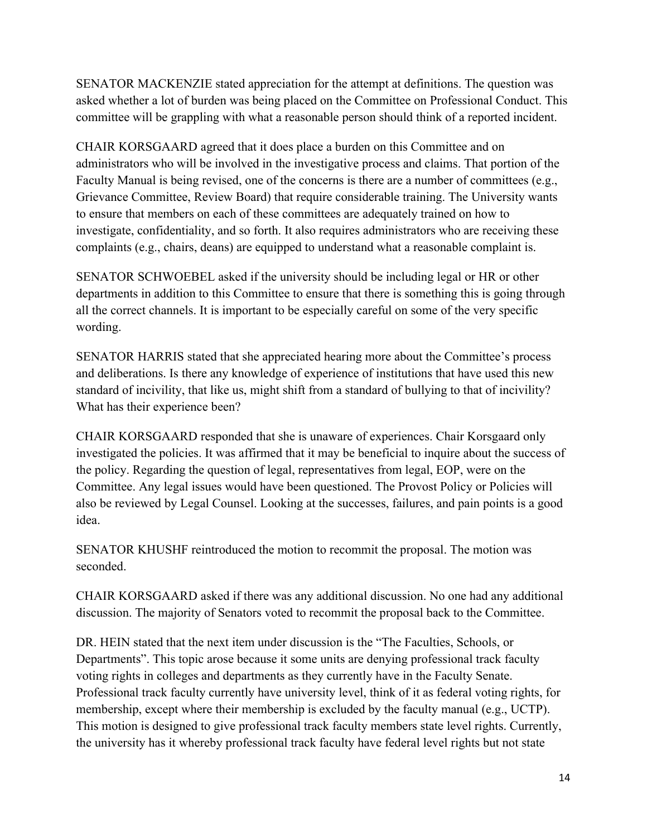SENATOR MACKENZIE stated appreciation for the attempt at definitions. The question was asked whether a lot of burden was being placed on the Committee on Professional Conduct. This committee will be grappling with what a reasonable person should think of a reported incident.

CHAIR KORSGAARD agreed that it does place a burden on this Committee and on administrators who will be involved in the investigative process and claims. That portion of the Faculty Manual is being revised, one of the concerns is there are a number of committees (e.g., Grievance Committee, Review Board) that require considerable training. The University wants to ensure that members on each of these committees are adequately trained on how to investigate, confidentiality, and so forth. It also requires administrators who are receiving these complaints (e.g., chairs, deans) are equipped to understand what a reasonable complaint is.

SENATOR SCHWOEBEL asked if the university should be including legal or HR or other departments in addition to this Committee to ensure that there is something this is going through all the correct channels. It is important to be especially careful on some of the very specific wording.

SENATOR HARRIS stated that she appreciated hearing more about the Committee's process and deliberations. Is there any knowledge of experience of institutions that have used this new standard of incivility, that like us, might shift from a standard of bullying to that of incivility? What has their experience been?

CHAIR KORSGAARD responded that she is unaware of experiences. Chair Korsgaard only investigated the policies. It was affirmed that it may be beneficial to inquire about the success of the policy. Regarding the question of legal, representatives from legal, EOP, were on the Committee. Any legal issues would have been questioned. The Provost Policy or Policies will also be reviewed by Legal Counsel. Looking at the successes, failures, and pain points is a good idea.

SENATOR KHUSHF reintroduced the motion to recommit the proposal. The motion was seconded.

CHAIR KORSGAARD asked if there was any additional discussion. No one had any additional discussion. The majority of Senators voted to recommit the proposal back to the Committee.

DR. HEIN stated that the next item under discussion is the "The Faculties, Schools, or Departments". This topic arose because it some units are denying professional track faculty voting rights in colleges and departments as they currently have in the Faculty Senate. Professional track faculty currently have university level, think of it as federal voting rights, for membership, except where their membership is excluded by the faculty manual (e.g., UCTP). This motion is designed to give professional track faculty members state level rights. Currently, the university has it whereby professional track faculty have federal level rights but not state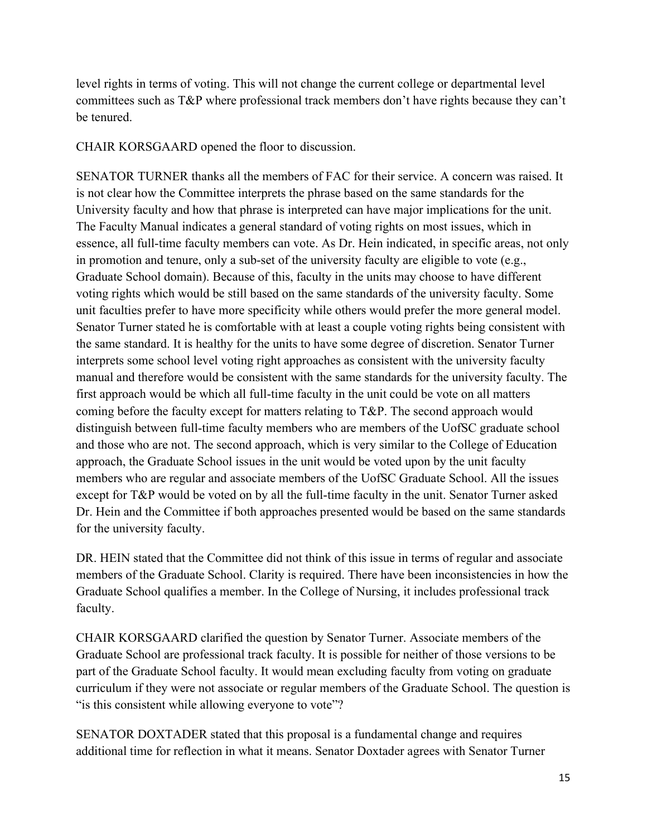level rights in terms of voting. This will not change the current college or departmental level committees such as T&P where professional track members don't have rights because they can't be tenured.

CHAIR KORSGAARD opened the floor to discussion.

SENATOR TURNER thanks all the members of FAC for their service. A concern was raised. It is not clear how the Committee interprets the phrase based on the same standards for the University faculty and how that phrase is interpreted can have major implications for the unit. The Faculty Manual indicates a general standard of voting rights on most issues, which in essence, all full-time faculty members can vote. As Dr. Hein indicated, in specific areas, not only in promotion and tenure, only a sub-set of the university faculty are eligible to vote (e.g., Graduate School domain). Because of this, faculty in the units may choose to have different voting rights which would be still based on the same standards of the university faculty. Some unit faculties prefer to have more specificity while others would prefer the more general model. Senator Turner stated he is comfortable with at least a couple voting rights being consistent with the same standard. It is healthy for the units to have some degree of discretion. Senator Turner interprets some school level voting right approaches as consistent with the university faculty manual and therefore would be consistent with the same standards for the university faculty. The first approach would be which all full-time faculty in the unit could be vote on all matters coming before the faculty except for matters relating to T&P. The second approach would distinguish between full-time faculty members who are members of the UofSC graduate school and those who are not. The second approach, which is very similar to the College of Education approach, the Graduate School issues in the unit would be voted upon by the unit faculty members who are regular and associate members of the UofSC Graduate School. All the issues except for T&P would be voted on by all the full-time faculty in the unit. Senator Turner asked Dr. Hein and the Committee if both approaches presented would be based on the same standards for the university faculty.

DR. HEIN stated that the Committee did not think of this issue in terms of regular and associate members of the Graduate School. Clarity is required. There have been inconsistencies in how the Graduate School qualifies a member. In the College of Nursing, it includes professional track faculty.

CHAIR KORSGAARD clarified the question by Senator Turner. Associate members of the Graduate School are professional track faculty. It is possible for neither of those versions to be part of the Graduate School faculty. It would mean excluding faculty from voting on graduate curriculum if they were not associate or regular members of the Graduate School. The question is " is this consistent while allowing everyone to vote"?

SENATOR DOXTADER stated that this proposal is a fundamental change and requires additional time for reflection in what it means. Senator Doxtader agrees with Senator Turner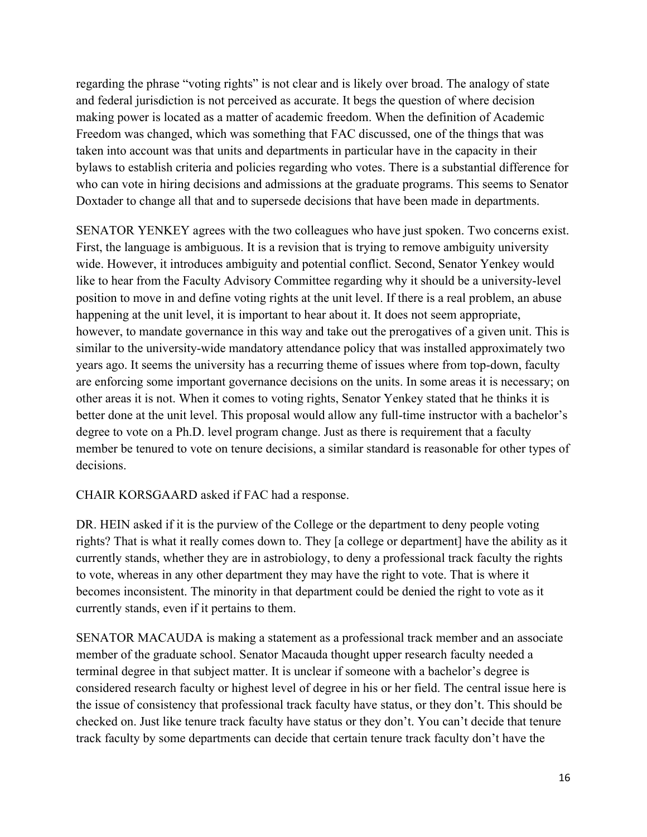regarding the phrase "voting rights" is not clear and is likely over broad. The analogy of state and federal jurisdiction is not perceived as accurate. It begs the question of where decision making power is located as a matter of academic freedom. When the definition of Academic Freedom was changed, which was something that FAC discussed, one of the things that was taken into account was that units and departments in particular have in the capacity in their bylaws to establish criteria and policies regarding who votes. There is a substantial difference for who can vote in hiring decisions and admissions at the graduate programs. This seems to Senator Doxtader to change all that and to supersede decisions that have been made in departments.

SENATOR YENKEY agrees with the two colleagues who have just spoken. Two concerns exist. First, the language is ambiguous. It is a revision that is trying to remove ambiguity university wide. However, it introduces ambiguity and potential conflict. Second, Senator Yenkey would like to hear from the Faculty Advisory Committee regarding why it should be a university-level position to move in and define voting rights at the unit level. If there is a real problem, an abuse happening at the unit level, it is important to hear about it. It does not seem appropriate, however, to mandate governance in this way and take out the prerogatives of a given unit. This is similar to the university-wide mandatory attendance policy that was installed approximately two years ago. It seems the university has a recurring theme of issues where from top-down, faculty are enforcing some important governance decisions on the units. In some areas it is necessary; on other areas it is not. When it comes to voting rights, Senator Yenkey stated that he thinks it is better done at the unit level. This proposal would allow any full-time instructor with a bachelor's degree to vote on a Ph.D. level program change. Just as there is requirement that a faculty member be tenured to vote on tenure decisions, a similar standard is reasonable for other types of decisions.

### CHAIR KORSGAARD asked if FAC had a response.

DR. HEIN asked if it is the purview of the College or the department to deny people voting rights? That is what it really comes down to. They [a college or department] have the ability as it currently stands, whether they are in astrobiology, to deny a professional track faculty the rights to vote, whereas in any other department they may have the right to vote. That is where it becomes inconsistent. The minority in that department could be denied the right to vote as it currently stands, even if it pertains to them.

SENATOR MACAUDA is making a statement as a professional track member and an associate member of the graduate school. Senator Macauda thought upper research faculty needed a terminal degree in that subject matter. It is unclear if someone with a bachelor's degree is considered research faculty or highest level of degree in his or her field. The central issue here is the issue of consistency that professional track faculty have status, or they don't. This should be checked on. Just like tenure track faculty have status or they don't. You can't decide that tenure track faculty by some departments can decide that certain tenure track faculty don't have the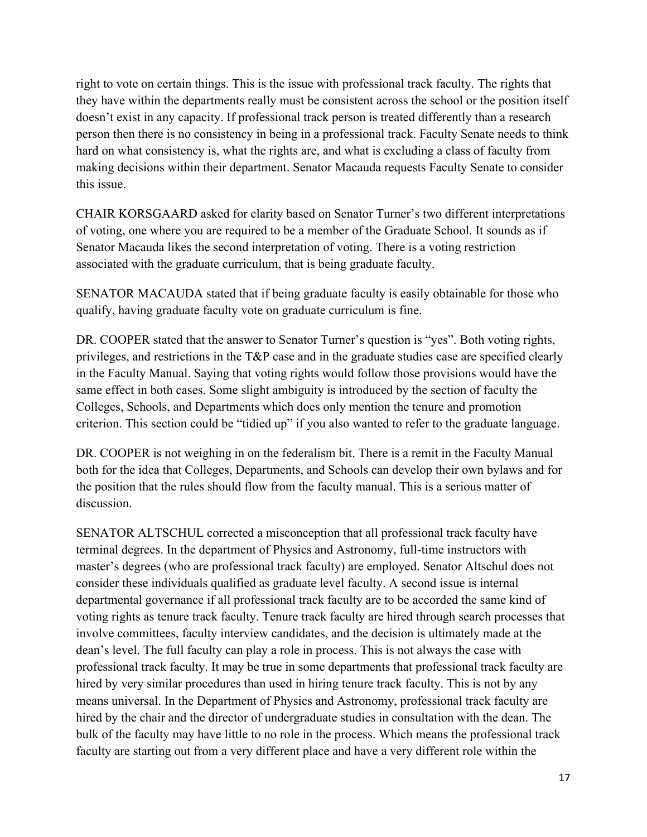right to vote on certain things. This is the issue with professional track faculty. The rights that they have within the departments really must be consistent across the school or the position itself doesn't exist in any capacity. If professional track person is treated differently than a research person then there is no consistency in being in a professional track. Faculty Senate needs to think hard on what consistency is, what the rights are, and what is excluding a class of faculty from making decisions within their department. Senator Macauda requests Faculty Senate to consider this issue.

CHAIR KORSGAARD asked for clarity based on Senator Turner's two different interpretations of voting, one where you are required to be a member of the Graduate School. It sounds as if Senator Macauda likes the second interpretation of voting. There is a voting restriction associated with the graduate curriculum, that is being graduate faculty.

SENATOR MACAUDA stated that if being graduate faculty is easily obtainable for those who qualify, having graduate faculty vote on graduate curriculum is fine.

DR. COOPER stated that the answer to Senator Turner's question is "yes". Both voting rights, privileges, and restrictions in the T&P case and in the graduate studies case are specified clearly in the Faculty Manual. Saying that voting rights would follow those provisions would have the same effect in both cases. Some slight ambiguity is introduced by the section of faculty the Colleges, Schools, and Departments which does only mention the tenure and promotion criterion. This section could be "tidied up" if you also wanted to refer to the graduate language.

DR. COOPER is not weighing in on the federalism bit. There is a remit in the Faculty Manual both for the idea that Colleges, Departments, and Schools can develop their own bylaws and for the position that the rules should flow from the faculty manual. This is a serious matter of discussion.

SENATOR ALTSCHUL corrected a misconception that all professional track faculty have terminal degrees. In the department of Physics and Astronomy, full-time instructors with master's degrees (who are professional track faculty) are employed. Senator Altschul does not consider these individuals qualified as graduate level faculty. A second issue is internal departmental governance if all professional track faculty are to be accorded the same kind of voting rights as tenure track faculty. Tenure track faculty are hired through search processes that involve committees, faculty interview candidates, and the decision is ultimately made at the dean's level. The full faculty can play a role in process. This is not always the case with professional track faculty. It may be true in some departments that professional track faculty are hired by very similar procedures than used in hiring tenure track faculty. This is not by any means universal. In the Department of Physics and Astronomy, professional track faculty are hired by the chair and the director of undergraduate studies in consultation with the dean. The bulk of the faculty may have little to no role in the process. Which means the professional track faculty are starting out from a very different place and have a very different role within the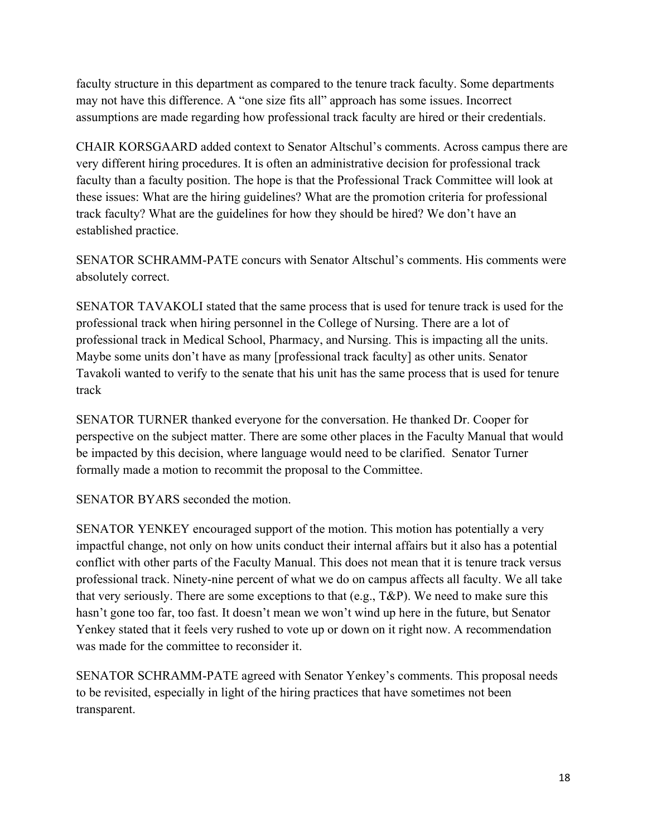faculty structure in this department as compared to the tenure track faculty. Some departments may not have this difference. A "one size fits all" approach has some issues. Incorrect assumptions are made regarding how professional track faculty are hired or their credentials.

CHAIR KORSGAARD added context to Senator Altschul's comments. Across campus there are very different hiring procedures. It is often an administrative decision for professional track faculty than a faculty position. The hope is that the Professional Track Committee will look at these issues: What are the hiring guidelines? What are the promotion criteria for professional track faculty? What are the guidelines for how they should be hired? We don't have an established practice.

SENATOR SCHRAMM-PATE concurs with Senator Altschul's comments. His comments were absolutely correct.

SENATOR TAVAKOLI stated that the same process that is used for tenure track is used for the professional track when hiring personnel in the College of Nursing. There are a lot of professional track in Medical School, Pharmacy, and Nursing. This is impacting all the units. Maybe some units don't have as many [professional track faculty] as other units. Senator Tavakoli wanted to verify to the senate that his unit has the same process that is used for tenure track

SENATOR TURNER thanked everyone for the conversation. He thanked Dr. Cooper for perspective on the subject matter. There are some other places in the Faculty Manual that would be impacted by this decision, where language would need to be clarified. Senator Turner formally made a motion to recommit the proposal to the Committee.

SENATOR BYARS seconded the motion.

SENATOR YENKEY encouraged support of the motion. This motion has potentially a very impactful change, not only on how units conduct their internal affairs but it also has a potential conflict with other parts of the Faculty Manual. This does not mean that it is tenure track versus professional track. Ninety-nine percent of what we do on campus affects all faculty. We all take that very seriously. There are some exceptions to that (e.g., T&P). We need to make sure this hasn't gone too far, too fast. It doesn't mean we won't wind up here in the future, but Senator Yenkey stated that it feels very rushed to vote up or down on it right now. A recommendation was made for the committee to reconsider it.

SENATOR SCHRAMM-PATE agreed with Senator Yenkey's comments. This proposal needs to be revisited, especially in light of the hiring practices that have sometimes not been transparent.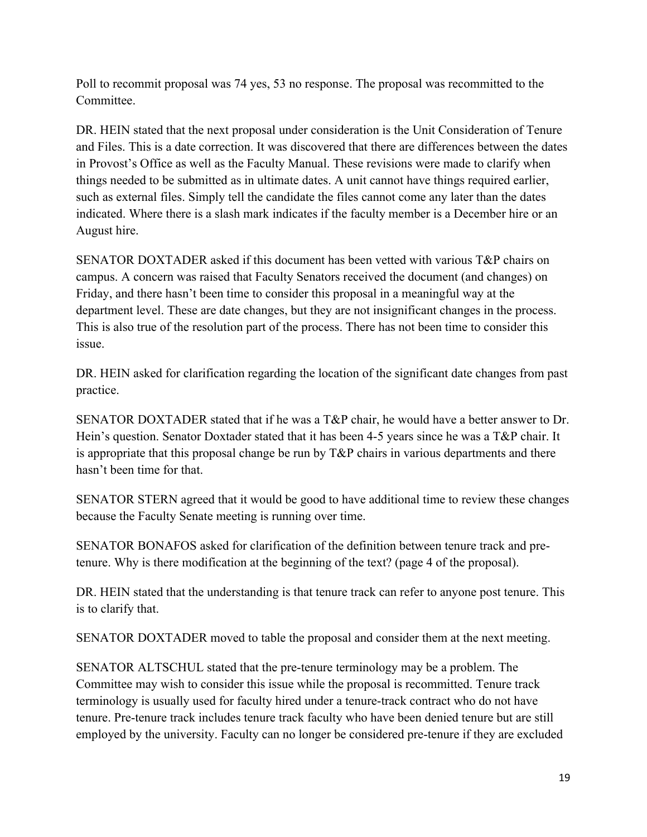Poll to recommit proposal was 74 yes, 53 no response. The proposal was recommitted to the Committee.

DR. HEIN stated that the next proposal under consideration is the Unit Consideration of Tenure and Files. This is a date correction. It was discovered that there are differences between the dates in Provost's Office as well as the Faculty Manual. These revisions were made to clarify when things needed to be submitted as in ultimate dates. A unit cannot have things required earlier, such as external files. Simply tell the candidate the files cannot come any later than the dates indicated. Where there is a slash mark indicates if the faculty member is a December hire or an August hire.

SENATOR DOXTADER asked if this document has been vetted with various T&P chairs on campus. A concern was raised that Faculty Senators received the document (and changes) on Friday, and there hasn't been time to consider this proposal in a meaningful way at the department level. These are date changes, but they are not insignificant changes in the process. This is also true of the resolution part of the process. There has not been time to consider this issue.

DR. HEIN asked for clarification regarding the location of the significant date changes from past practice.

SENATOR DOXTADER stated that if he was a T&P chair, he would have a better answer to Dr. Hein's question. Senator Doxtader stated that it has been 4-5 years since he was a T&P chair. It is appropriate that this proposal change be run by T&P chairs in various departments and there hasn't been time for that.

SENATOR STERN agreed that it would be good to have additional time to review these changes because the Faculty Senate meeting is running over time.

SENATOR BONAFOS asked for clarification of the definition between tenure track and pretenure. Why is there modification at the beginning of the text? (page 4 of the proposal).

DR. HEIN stated that the understanding is that tenure track can refer to anyone post tenure. This is to clarify that.

SENATOR DOXTADER moved to table the proposal and consider them at the next meeting.

SENATOR ALTSCHUL stated that the pre-tenure terminology may be a problem. The Committee may wish to consider this issue while the proposal is recommitted. Tenure track terminology is usually used for faculty hired under a tenure-track contract who do not have tenure. Pre-tenure track includes tenure track faculty who have been denied tenure but are still employed by the university. Faculty can no longer be considered pre-tenure if they are excluded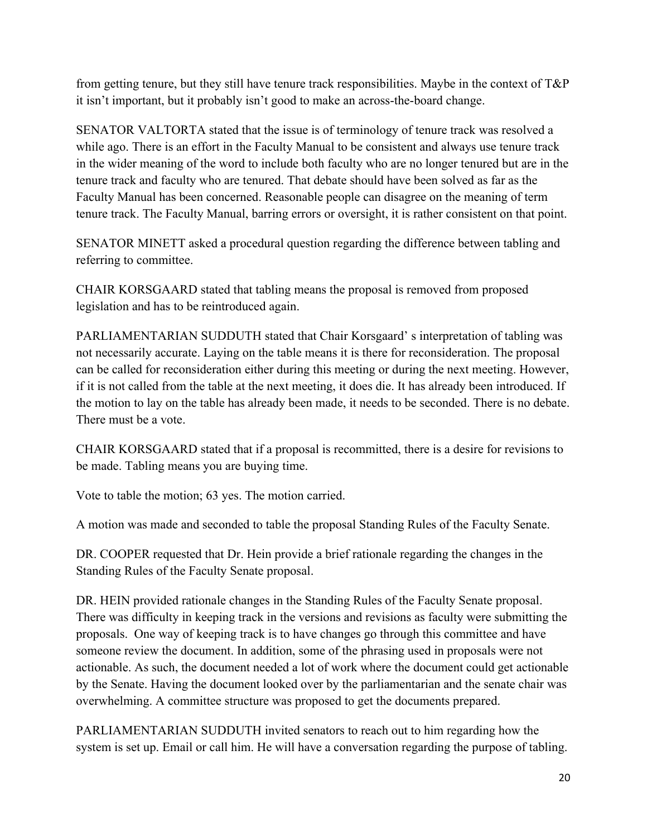from getting tenure, but they still have tenure track responsibilities. Maybe in the context of  $T\&P$ it isn't important, but it probably isn't good to make an across-the-board change.

SENATOR VALTORTA stated that the issue is of terminology of tenure track was resolved a while ago. There is an effort in the Faculty Manual to be consistent and always use tenure track in the wider meaning of the word to include both faculty who are no longer tenured but are in the tenure track and faculty who are tenured. That debate should have been solved as far as the Faculty Manual has been concerned. Reasonable people can disagree on the meaning of term tenure track. The Faculty Manual, barring errors or oversight, it is rather consistent on that point.

SENATOR MINETT asked a procedural question regarding the difference between tabling and referring to committee.

CHAIR KORSGAARD stated that tabling means the proposal is removed from proposed legislation and has to be reintroduced again.

PARLIAMENTARIAN SUDDUTH stated that Chair Korsgaard' s interpretation of tabling was not necessarily accurate. Laying on the table means it is there for reconsideration. The proposal can be called for reconsideration either during this meeting or during the next meeting. However, if it is not called from the table at the next meeting, it does die. It has already been introduced. If the motion to lay on the table has already been made, it needs to be seconded. There is no debate. There must be a vote.

CHAIR KORSGAARD stated that if a proposal is recommitted, there is a desire for revisions to be made. Tabling means you are buying time.

Vote to table the motion; 63 yes. The motion carried.

A motion was made and seconded to table the proposal Standing Rules of the Faculty Senate.

DR. COOPER requested that Dr. Hein provide a brief rationale regarding the changes in the Standing Rules of the Faculty Senate proposal.

DR. HEIN provided rationale changes in the Standing Rules of the Faculty Senate proposal. There was difficulty in keeping track in the versions and revisions as faculty were submitting the proposals. One way of keeping track is to have changes go through this committee and have someone review the document. In addition, some of the phrasing used in proposals were not actionable. As such, the document needed a lot of work where the document could get actionable by the Senate. Having the document looked over by the parliamentarian and the senate chair was overwhelming. A committee structure was proposed to get the documents prepared.

PARLIAMENTARIAN SUDDUTH invited senators to reach out to him regarding how the system is set up. Email or call him. He will have a conversation regarding the purpose of tabling.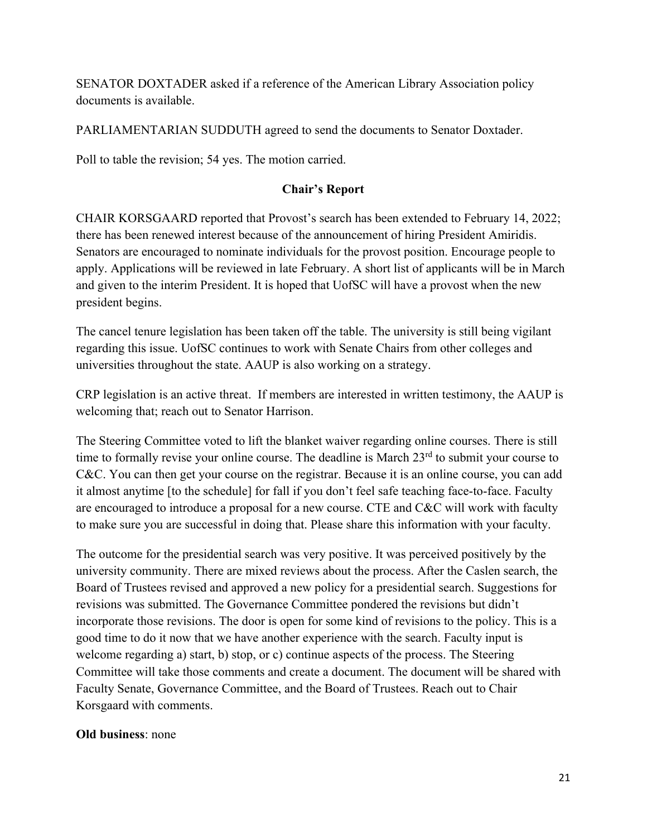SENATOR DOXTADER asked if a reference of the American Library Association policy documents is available.

PARLIAMENTARIAN SUDDUTH agreed to send the documents to Senator Doxtader.

Poll to table the revision; 54 yes. The motion carried.

## **Chair's Report**

CHAIR KORSGAARD reported that Provost's search has been extended to February 14, 2022; there has been renewed interest because of the announcement of hiring President Amiridis. Senators are encouraged to nominate individuals for the provost position. Encourage people to apply. Applications will be reviewed in late February. A short list of applicants will be in March and given to the interim President. It is hoped that UofSC will have a provost when the new president begins.

The cancel tenure legislation has been taken off the table. The university is still being vigilant regarding this issue. UofSC continues to work with Senate Chairs from other colleges and universities throughout the state. AAUP is also working on a strategy.

CRP legislation is an active threat. If members are interested in written testimony, the AAUP is welcoming that; reach out to Senator Harrison.

The Steering Committee voted to lift the blanket waiver regarding online courses. There is still time to formally revise your online course. The deadline is March 23<sup>rd</sup> to submit your course to C&C. You can then get your course on the registrar. Because it is an online course, you can add it almost anytime [to the schedule] for fall if you don't feel safe teaching face-to-face. Faculty are encouraged to introduce a proposal for a new course. CTE and C&C will work with faculty to make sure you are successful in doing that. Please share this information with your faculty.

The outcome for the presidential search was very positive. It was perceived positively by the university community. There are mixed reviews about the process. After the Caslen search, the Board of Trustees revised and approved a new policy for a presidential search. Suggestions for revisions was submitted. The Governance Committee pondered the revisions but didn't incorporate those revisions. The door is open for some kind of revisions to the policy. This is a good time to do it now that we have another experience with the search. Faculty input is welcome regarding a) start, b) stop, or c) continue aspects of the process. The Steering Committee will take those comments and create a document. The document will be shared with Faculty Senate, Governance Committee, and the Board of Trustees. Reach out to Chair Korsgaard with comments.

### **Old business**: none